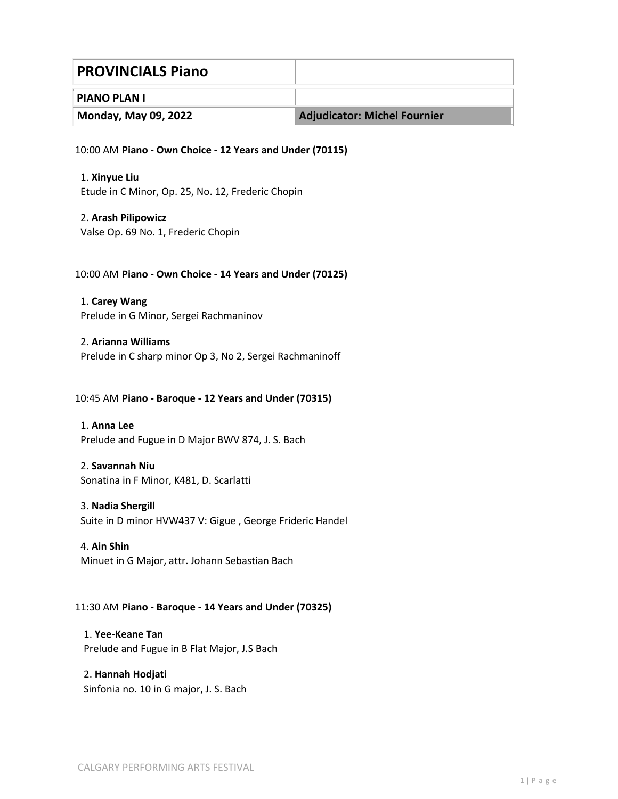| <b>PROVINCIALS Piano</b> |                              |
|--------------------------|------------------------------|
| <b>PIANO PLAN I</b>      |                              |
| Monday, May 09, 2022     | Adjudicator: Michel Fournier |

10:00 AM **Piano - Own Choice - 12 Years and Under (70115)**

1. **Xinyue Liu** Etude in C Minor, Op. 25, No. 12, Frederic Chopin

2. **Arash Pilipowicz** Valse Op. 69 No. 1, Frederic Chopin

#### 10:00 AM **Piano - Own Choice - 14 Years and Under (70125)**

1. **Carey Wang** Prelude in G Minor, Sergei Rachmaninov

2. **Arianna Williams** Prelude in C sharp minor Op 3, No 2, Sergei Rachmaninoff

#### 10:45 AM **Piano - Baroque - 12 Years and Under (70315)**

1. **Anna Lee** Prelude and Fugue in D Major BWV 874, J. S. Bach

# 2. **Savannah Niu**

Sonatina in F Minor, K481, D. Scarlatti

#### 3. **Nadia Shergill**

Suite in D minor HVW437 V: Gigue , George Frideric Handel

#### 4. **Ain Shin**

Minuet in G Major, attr. Johann Sebastian Bach

#### 11:30 AM **Piano - Baroque - 14 Years and Under (70325)**

1. **Yee-Keane Tan** Prelude and Fugue in B Flat Major, J.S Bach

#### 2. **Hannah Hodjati**

Sinfonia no. 10 in G major, J. S. Bach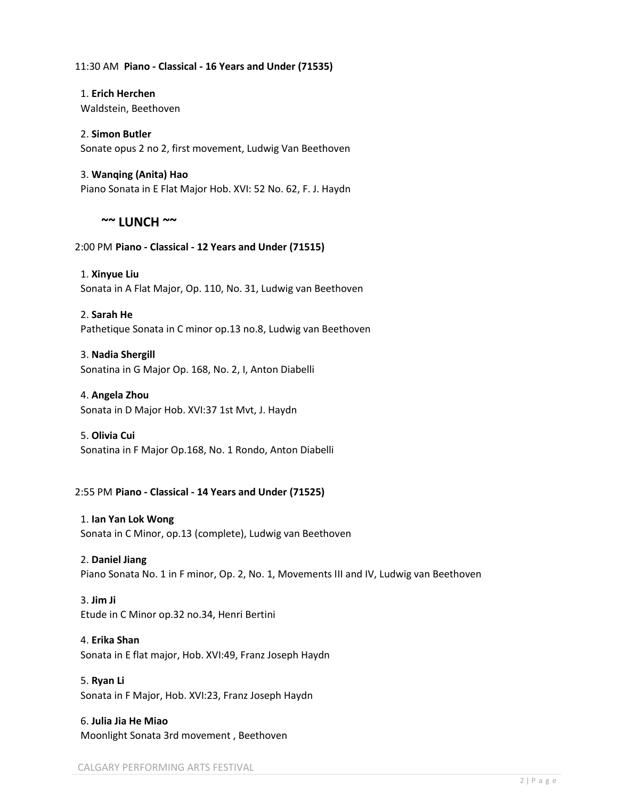#### 11:30 AM **Piano - Classical - 16 Years and Under (71535)**

1. **Erich Herchen** Waldstein, Beethoven

# 2. **Simon Butler** Sonate opus 2 no 2, first movement, Ludwig Van Beethoven

3. **Wanqing (Anita) Hao** Piano Sonata in E Flat Major Hob. XVI: 52 No. 62, F. J. Haydn

# **~~ LUNCH ~~**

# 2:00 PM **Piano - Classical - 12 Years and Under (71515)**

1. **Xinyue Liu** Sonata in A Flat Major, Op. 110, No. 31, Ludwig van Beethoven

# 2. **Sarah He**

Pathetique Sonata in C minor op.13 no.8, Ludwig van Beethoven

# 3. **Nadia Shergill**

Sonatina in G Major Op. 168, No. 2, I, Anton Diabelli

### 4. **Angela Zhou**

Sonata in D Major Hob. XVI:37 1st Mvt, J. Haydn

#### 5. **Olivia Cui**

Sonatina in F Major Op.168, No. 1 Rondo, Anton Diabelli

# 2:55 PM **Piano - Classical - 14 Years and Under (71525)**

#### 1. **Ian Yan Lok Wong**

Sonata in C Minor, op.13 (complete), Ludwig van Beethoven

#### 2. **Daniel Jiang**

Piano Sonata No. 1 in F minor, Op. 2, No. 1, Movements III and IV, Ludwig van Beethoven

# 3. **Jim Ji**

Etude in C Minor op.32 no.34, Henri Bertini

# 4. **Erika Shan**

Sonata in E flat major, Hob. XVI:49, Franz Joseph Haydn

# 5. **Ryan Li**

Sonata in F Major, Hob. XVI:23, Franz Joseph Haydn

# 6. **Julia Jia He Miao** Moonlight Sonata 3rd movement , Beethoven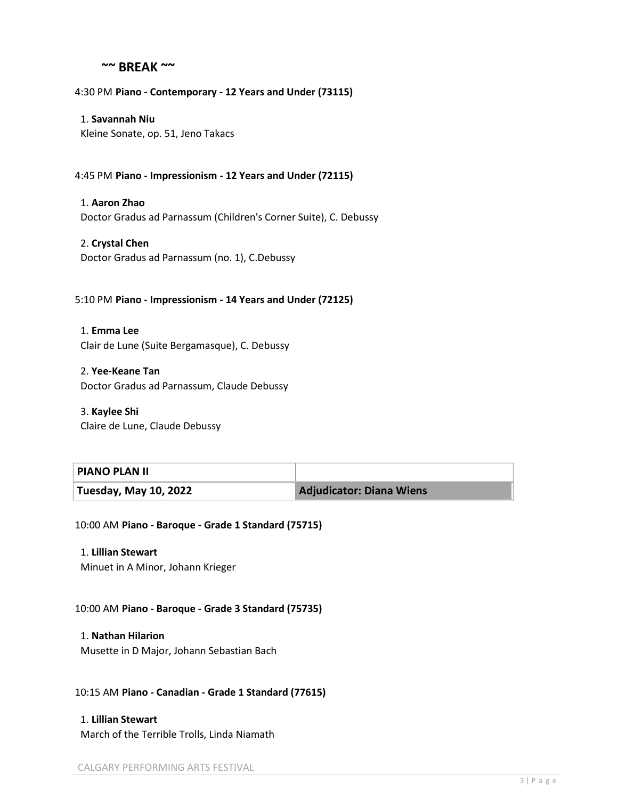# **~~ BREAK ~~**

4:30 PM **Piano - Contemporary - 12 Years and Under (73115)**

1. **Savannah Niu** Kleine Sonate, op. 51, Jeno Takacs

4:45 PM **Piano - Impressionism - 12 Years and Under (72115)**

1. **Aaron Zhao**

Doctor Gradus ad Parnassum (Children's Corner Suite), C. Debussy

2. **Crystal Chen** Doctor Gradus ad Parnassum (no. 1), C.Debussy

#### 5:10 PM **Piano - Impressionism - 14 Years and Under (72125)**

1. **Emma Lee** Clair de Lune (Suite Bergamasque), C. Debussy

2. **Yee-Keane Tan** Doctor Gradus ad Parnassum, Claude Debussy

3. **Kaylee Shi** Claire de Lune, Claude Debussy

#### **PIANO PLAN II**

**Tuesday, May 10, 2022 Adjudicator: Diana Wiens**

10:00 AM **Piano - Baroque - Grade 1 Standard (75715)**

1. **Lillian Stewart**

Minuet in A Minor, Johann Krieger

10:00 AM **Piano - Baroque - Grade 3 Standard (75735)**

1. **Nathan Hilarion** Musette in D Major, Johann Sebastian Bach

10:15 AM **Piano - Canadian - Grade 1 Standard (77615)**

1. **Lillian Stewart** March of the Terrible Trolls, Linda Niamath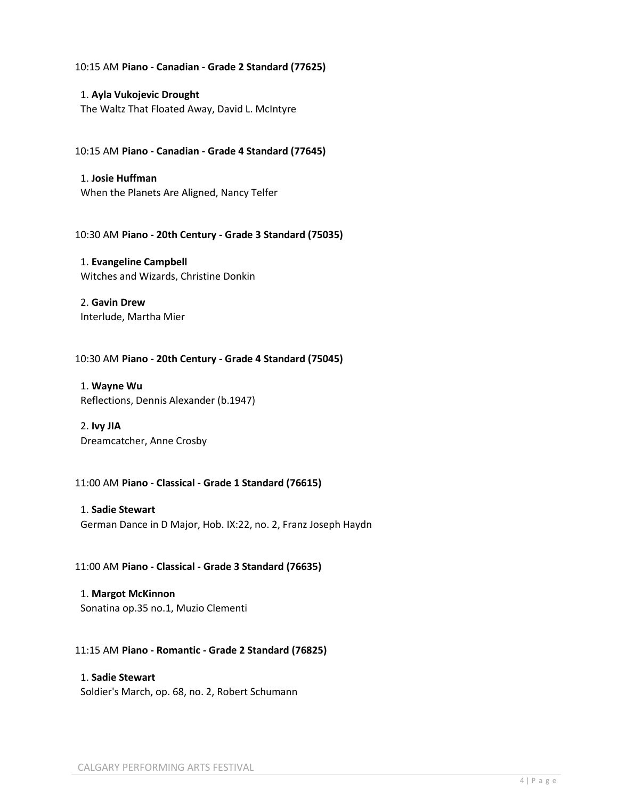#### 10:15 AM **Piano - Canadian - Grade 2 Standard (77625)**

1. **Ayla Vukojevic Drought** The Waltz That Floated Away, David L. McIntyre

10:15 AM **Piano - Canadian - Grade 4 Standard (77645)**

1. **Josie Huffman** When the Planets Are Aligned, Nancy Telfer

10:30 AM **Piano - 20th Century - Grade 3 Standard (75035)**

1. **Evangeline Campbell** Witches and Wizards, Christine Donkin

2. **Gavin Drew** Interlude, Martha Mier

10:30 AM **Piano - 20th Century - Grade 4 Standard (75045)**

1. **Wayne Wu** Reflections, Dennis Alexander (b.1947)

2. **Ivy JIA** Dreamcatcher, Anne Crosby

#### 11:00 AM **Piano - Classical - Grade 1 Standard (76615)**

1. **Sadie Stewart** German Dance in D Major, Hob. IX:22, no. 2, Franz Joseph Haydn

11:00 AM **Piano - Classical - Grade 3 Standard (76635)**

1. **Margot McKinnon** Sonatina op.35 no.1, Muzio Clementi

#### 11:15 AM **Piano - Romantic - Grade 2 Standard (76825)**

# 1. **Sadie Stewart** Soldier's March, op. 68, no. 2, Robert Schumann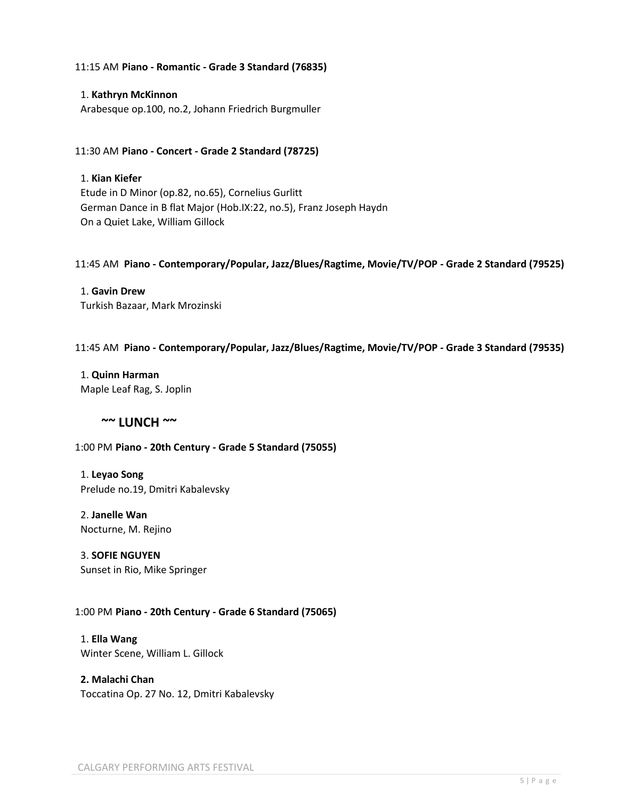#### 11:15 AM **Piano - Romantic - Grade 3 Standard (76835)**

#### 1. **Kathryn McKinnon**

Arabesque op.100, no.2, Johann Friedrich Burgmuller

#### 11:30 AM **Piano - Concert - Grade 2 Standard (78725)**

# 1. **Kian Kiefer**

Etude in D Minor (op.82, no.65), Cornelius Gurlitt German Dance in B flat Major (Hob.IX:22, no.5), Franz Joseph Haydn On a Quiet Lake, William Gillock

#### 11:45 AM **Piano - Contemporary/Popular, Jazz/Blues/Ragtime, Movie/TV/POP - Grade 2 Standard (79525)**

1. **Gavin Drew** Turkish Bazaar, Mark Mrozinski

#### 11:45 AM **Piano - Contemporary/Popular, Jazz/Blues/Ragtime, Movie/TV/POP - Grade 3 Standard (79535)**

1. **Quinn Harman** Maple Leaf Rag, S. Joplin

# **~~ LUNCH ~~**

#### 1:00 PM **Piano - 20th Century - Grade 5 Standard (75055)**

1. **Leyao Song** Prelude no.19, Dmitri Kabalevsky

2. **Janelle Wan** Nocturne, M. Rejino

3. **SOFIE NGUYEN** Sunset in Rio, Mike Springer

#### 1:00 PM **Piano - 20th Century - Grade 6 Standard (75065)**

1. **Ella Wang** Winter Scene, William L. Gillock

**2. Malachi Chan** Toccatina Op. 27 No. 12, Dmitri Kabalevsky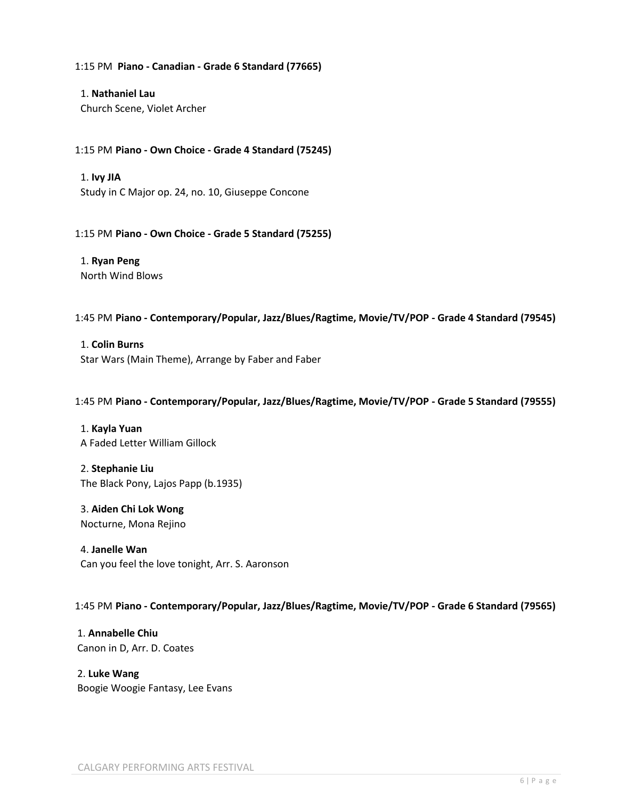#### 1:15 PM **Piano - Canadian - Grade 6 Standard (77665)**

1. **Nathaniel Lau** Church Scene, Violet Archer

#### 1:15 PM **Piano - Own Choice - Grade 4 Standard (75245)**

1. **Ivy JIA**

Study in C Major op. 24, no. 10, Giuseppe Concone

#### 1:15 PM **Piano - Own Choice - Grade 5 Standard (75255)**

1. **Ryan Peng** North Wind Blows

#### 1:45 PM **Piano - Contemporary/Popular, Jazz/Blues/Ragtime, Movie/TV/POP - Grade 4 Standard (79545)**

1. **Colin Burns** Star Wars (Main Theme), Arrange by Faber and Faber

#### 1:45 PM **Piano - Contemporary/Popular, Jazz/Blues/Ragtime, Movie/TV/POP - Grade 5 Standard (79555)**

1. **Kayla Yuan** A Faded Letter William Gillock

2. **Stephanie Liu** The Black Pony, Lajos Papp (b.1935)

3. **Aiden Chi Lok Wong** Nocturne, Mona Rejino

4. **Janelle Wan** Can you feel the love tonight, Arr. S. Aaronson

#### 1:45 PM **Piano - Contemporary/Popular, Jazz/Blues/Ragtime, Movie/TV/POP - Grade 6 Standard (79565)**

1. **Annabelle Chiu** Canon in D, Arr. D. Coates

2. **Luke Wang** Boogie Woogie Fantasy, Lee Evans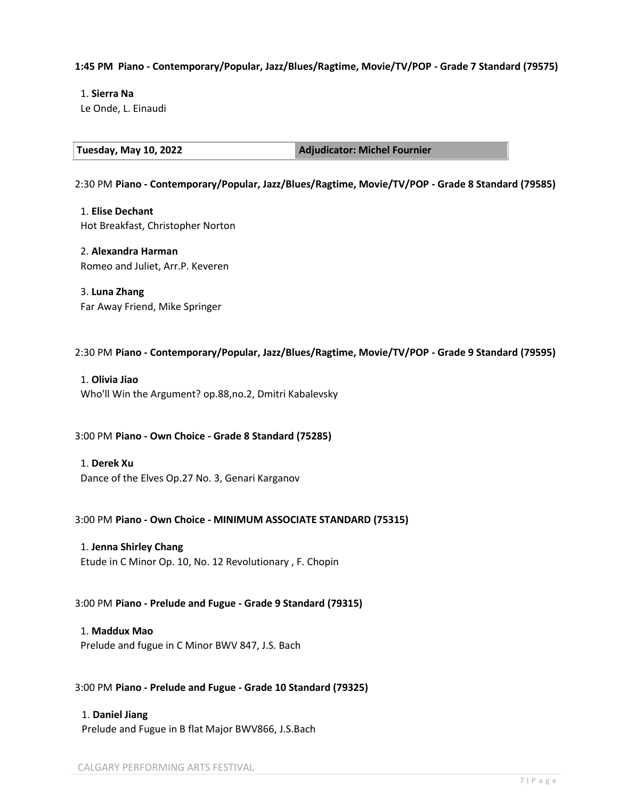### **1:45 PM Piano - Contemporary/Popular, Jazz/Blues/Ragtime, Movie/TV/POP - Grade 7 Standard (79575)**

1. **Sierra Na** Le Onde, L. Einaudi

**Tuesday, May 10, 2022 Adjudicator: Michel Fournier** 

2:30 PM **Piano - Contemporary/Popular, Jazz/Blues/Ragtime, Movie/TV/POP - Grade 8 Standard (79585)**

1. **Elise Dechant** Hot Breakfast, Christopher Norton

#### 2. **Alexandra Harman**

Romeo and Juliet, Arr.P. Keveren

3. **Luna Zhang** Far Away Friend, Mike Springer

2:30 PM **Piano - Contemporary/Popular, Jazz/Blues/Ragtime, Movie/TV/POP - Grade 9 Standard (79595)**

1. **Olivia Jiao** Who'll Win the Argument? op.88,no.2, Dmitri Kabalevsky

3:00 PM **Piano - Own Choice - Grade 8 Standard (75285)**

1. **Derek Xu** Dance of the Elves Op.27 No. 3, Genari Karganov

3:00 PM **Piano - Own Choice - MINIMUM ASSOCIATE STANDARD (75315)**

1. **Jenna Shirley Chang**

Etude in C Minor Op. 10, No. 12 Revolutionary , F. Chopin

3:00 PM **Piano - Prelude and Fugue - Grade 9 Standard (79315)**

1. **Maddux Mao**

Prelude and fugue in C Minor BWV 847, J.S. Bach

3:00 PM **Piano - Prelude and Fugue - Grade 10 Standard (79325)**

1. **Daniel Jiang** Prelude and Fugue in B flat Major BWV866, J.S.Bach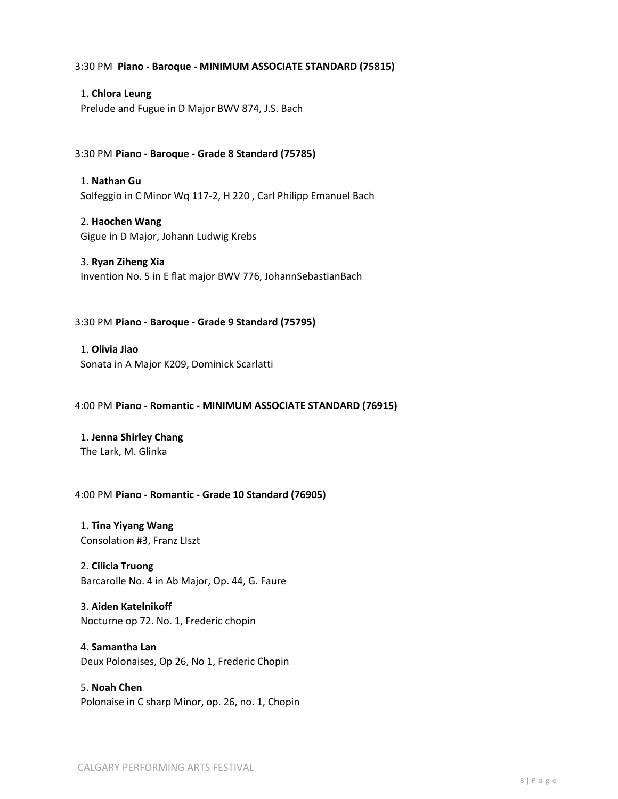#### 3:30 PM **Piano - Baroque - MINIMUM ASSOCIATE STANDARD (75815)**

# 1. **Chlora Leung**

Prelude and Fugue in D Major BWV 874, J.S. Bach

### 3:30 PM **Piano - Baroque - Grade 8 Standard (75785)**

1. **Nathan Gu** Solfeggio in C Minor Wq 117-2, H 220 , Carl Philipp Emanuel Bach

2. **Haochen Wang** Gigue in D Major, Johann Ludwig Krebs

#### 3. **Ryan Ziheng Xia**

Invention No. 5 in E flat major BWV 776, JohannSebastianBach

#### 3:30 PM **Piano - Baroque - Grade 9 Standard (75795)**

1. **Olivia Jiao** Sonata in A Major K209, Dominick Scarlatti

#### 4:00 PM **Piano - Romantic - MINIMUM ASSOCIATE STANDARD (76915)**

#### 1. **Jenna Shirley Chang** The Lark, M. Glinka

#### 4:00 PM **Piano - Romantic - Grade 10 Standard (76905)**

1. **Tina Yiyang Wang** Consolation #3, Franz LIszt

#### 2. **Cilicia Truong**

Barcarolle No. 4 in Ab Major, Op. 44, G. Faure

# 3. **Aiden Katelnikoff** Nocturne op 72. No. 1, Frederic chopin

4. **Samantha Lan** Deux Polonaises, Op 26, No 1, Frederic Chopin

# 5. **Noah Chen** Polonaise in C sharp Minor, op. 26, no. 1, Chopin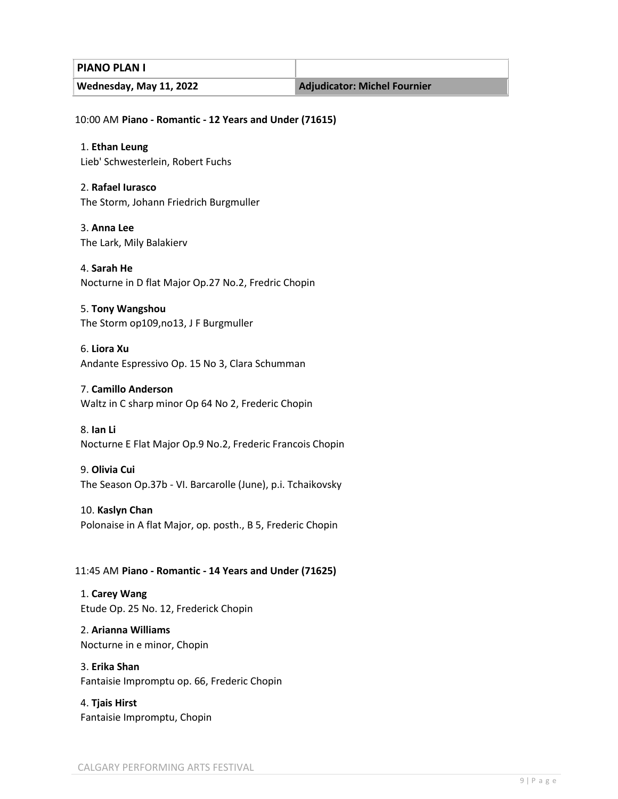**PIANO PLAN I**

Wednesday, May 11, 2022 **Adjudicator: Michel Fournier** 

10:00 AM **Piano - Romantic - 12 Years and Under (71615)**

1. **Ethan Leung**

Lieb' Schwesterlein, Robert Fuchs

2. **Rafael Iurasco** The Storm, Johann Friedrich Burgmuller

3. **Anna Lee** The Lark, Mily Balakierv

4. **Sarah He** Nocturne in D flat Major Op.27 No.2, Fredric Chopin

5. **Tony Wangshou** The Storm op109,no13, J F Burgmuller

6. **Liora Xu** Andante Espressivo Op. 15 No 3, Clara Schumman

# 7. **Camillo Anderson**

Waltz in C sharp minor Op 64 No 2, Frederic Chopin

8. **Ian Li** Nocturne E Flat Major Op.9 No.2, Frederic Francois Chopin

9. **Olivia Cui**

The Season Op.37b - VI. Barcarolle (June), p.i. Tchaikovsky

10. **Kaslyn Chan** Polonaise in A flat Major, op. posth., B 5, Frederic Chopin

# 11:45 AM **Piano - Romantic - 14 Years and Under (71625)**

1. **Carey Wang** Etude Op. 25 No. 12, Frederick Chopin

2. **Arianna Williams** Nocturne in e minor, Chopin

3. **Erika Shan** Fantaisie Impromptu op. 66, Frederic Chopin

4. **Tjais Hirst** Fantaisie Impromptu, Chopin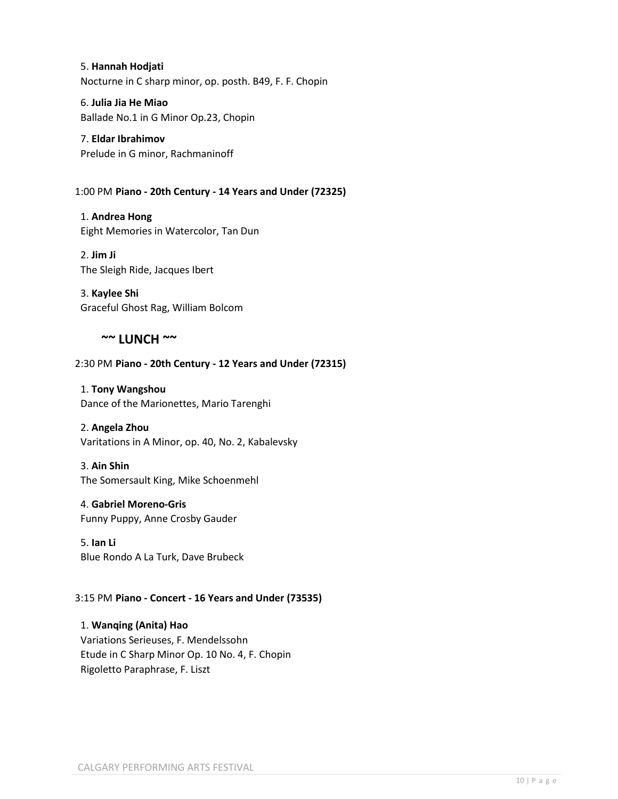5. **Hannah Hodjati** Nocturne in C sharp minor, op. posth. B49, F. F. Chopin

6. **Julia Jia He Miao** Ballade No.1 in G Minor Op.23, Chopin

7. **Eldar Ibrahimov** Prelude in G minor, Rachmaninoff

1:00 PM **Piano - 20th Century - 14 Years and Under (72325)**

1. **Andrea Hong** Eight Memories in Watercolor, Tan Dun

2. **Jim Ji** The Sleigh Ride, Jacques Ibert

3. **Kaylee Shi** Graceful Ghost Rag, William Bolcom

# **~~ LUNCH ~~**

# 2:30 PM **Piano - 20th Century - 12 Years and Under (72315)**

1. **Tony Wangshou** Dance of the Marionettes, Mario Tarenghi

# 2. **Angela Zhou**

Varitations in A Minor, op. 40, No. 2, Kabalevsky

# 3. **Ain Shin**

The Somersault King, Mike Schoenmehl

4. **Gabriel Moreno-Gris** Funny Puppy, Anne Crosby Gauder

5. **Ian Li** Blue Rondo A La Turk, Dave Brubeck

# 3:15 PM **Piano - Concert - 16 Years and Under (73535)**

1. **Wanqing (Anita) Hao** Variations Serieuses, F. Mendelssohn Etude in C Sharp Minor Op. 10 No. 4, F. Chopin Rigoletto Paraphrase, F. Liszt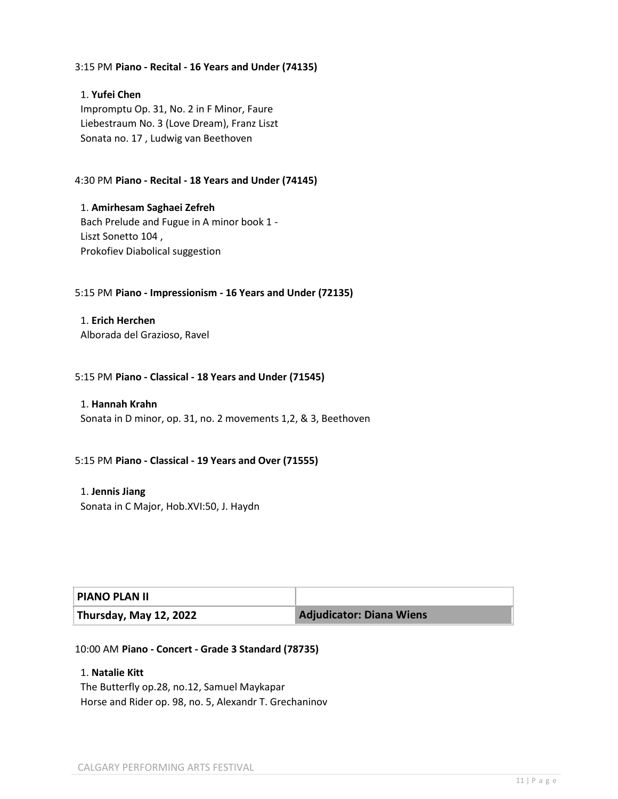#### 3:15 PM **Piano - Recital - 16 Years and Under (74135)**

# 1. **Yufei Chen** Impromptu Op. 31, No. 2 in F Minor, Faure Liebestraum No. 3 (Love Dream), Franz Liszt Sonata no. 17 , Ludwig van Beethoven

# 4:30 PM **Piano - Recital - 18 Years and Under (74145)**

1. **Amirhesam Saghaei Zefreh** Bach Prelude and Fugue in A minor book 1 - Liszt Sonetto 104 , Prokofiev Diabolical suggestion

#### 5:15 PM **Piano - Impressionism - 16 Years and Under (72135)**

1. **Erich Herchen** Alborada del Grazioso, Ravel

#### 5:15 PM **Piano - Classical - 18 Years and Under (71545)**

#### 1. **Hannah Krahn**

Sonata in D minor, op. 31, no. 2 movements 1,2, & 3, Beethoven

#### 5:15 PM **Piano - Classical - 19 Years and Over (71555)**

1. **Jennis Jiang** Sonata in C Major, Hob.XVI:50, J. Haydn

| <b>PIANO PLAN II</b>   |                                 |
|------------------------|---------------------------------|
| Thursday, May 12, 2022 | <b>Adjudicator: Diana Wiens</b> |

#### 10:00 AM **Piano - Concert - Grade 3 Standard (78735)**

# 1. **Natalie Kitt**

The Butterfly op.28, no.12, Samuel Maykapar Horse and Rider op. 98, no. 5, Alexandr T. Grechaninov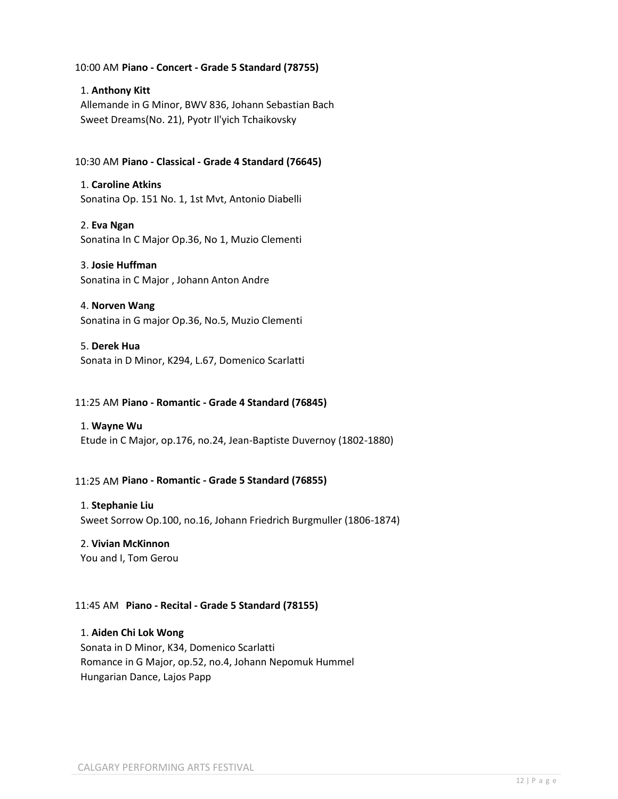# 10:00 AM **Piano - Concert - Grade 5 Standard (78755)**

# 1. **Anthony Kitt**

Allemande in G Minor, BWV 836, Johann Sebastian Bach Sweet Dreams(No. 21), Pyotr Il'yich Tchaikovsky

# 10:30 AM **Piano - Classical - Grade 4 Standard (76645)**

1. **Caroline Atkins** Sonatina Op. 151 No. 1, 1st Mvt, Antonio Diabelli

2. **Eva Ngan** Sonatina In C Major Op.36, No 1, Muzio Clementi

#### 3. **Josie Huffman**

Sonatina in C Major , Johann Anton Andre

# 4. **Norven Wang** Sonatina in G major Op.36, No.5, Muzio Clementi

5. **Derek Hua** Sonata in D Minor, K294, L.67, Domenico Scarlatti

### 11:25 AM **Piano - Romantic - Grade 4 Standard (76845)**

#### 1. **Wayne Wu**

Etude in C Major, op.176, no.24, Jean-Baptiste Duvernoy (1802-1880)

#### 11:25 AM **Piano - Romantic - Grade 5 Standard (76855)**

#### 1. **Stephanie Liu**

Sweet Sorrow Op.100, no.16, Johann Friedrich Burgmuller (1806-1874)

#### 2. **Vivian McKinnon**

You and I, Tom Gerou

#### 11:45 AM **Piano - Recital - Grade 5 Standard (78155)**

# 1. **Aiden Chi Lok Wong**

Sonata in D Minor, K34, Domenico Scarlatti Romance in G Major, op.52, no.4, Johann Nepomuk Hummel Hungarian Dance, Lajos Papp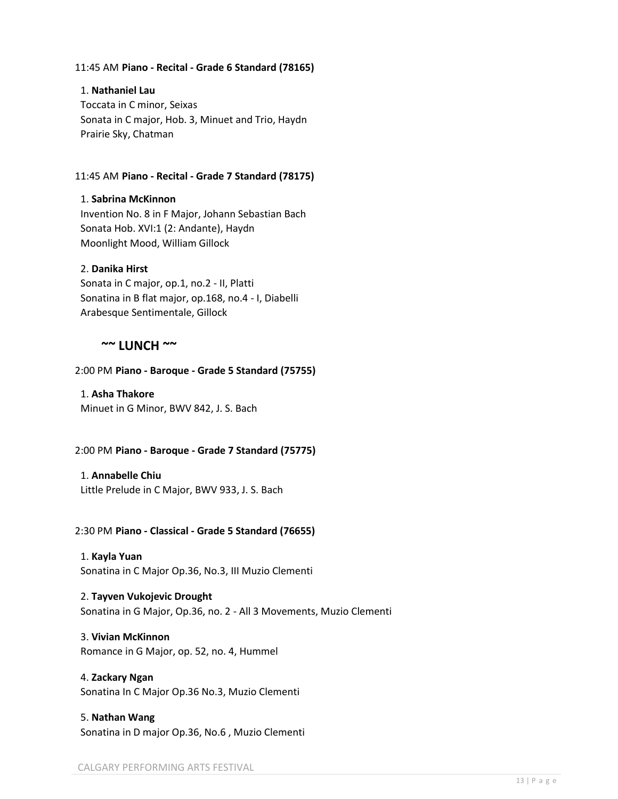#### 11:45 AM **Piano - Recital - Grade 6 Standard (78165)**

#### 1. **Nathaniel Lau**

Toccata in C minor, Seixas Sonata in C major, Hob. 3, Minuet and Trio, Haydn Prairie Sky, Chatman

### 11:45 AM **Piano - Recital - Grade 7 Standard (78175)**

#### 1. **Sabrina McKinnon**

Invention No. 8 in F Major, Johann Sebastian Bach Sonata Hob. XVI:1 (2: Andante), Haydn Moonlight Mood, William Gillock

#### 2. **Danika Hirst**

Sonata in C major, op.1, no.2 - II, Platti Sonatina in B flat major, op.168, no.4 - I, Diabelli Arabesque Sentimentale, Gillock

# **~~ LUNCH ~~**

#### 2:00 PM **Piano - Baroque - Grade 5 Standard (75755)**

1. **Asha Thakore** Minuet in G Minor, BWV 842, J. S. Bach

#### 2:00 PM **Piano - Baroque - Grade 7 Standard (75775)**

# 1. **Annabelle Chiu**

Little Prelude in C Major, BWV 933, J. S. Bach

#### 2:30 PM **Piano - Classical - Grade 5 Standard (76655)**

# 1. **Kayla Yuan**

Sonatina in C Major Op.36, No.3, III Muzio Clementi

# 2. **Tayven Vukojevic Drought**

Sonatina in G Major, Op.36, no. 2 - All 3 Movements, Muzio Clementi

# 3. **Vivian McKinnon**

Romance in G Major, op. 52, no. 4, Hummel

## 4. **Zackary Ngan** Sonatina In C Major Op.36 No.3, Muzio Clementi

# 5. **Nathan Wang** Sonatina in D major Op.36, No.6 , Muzio Clementi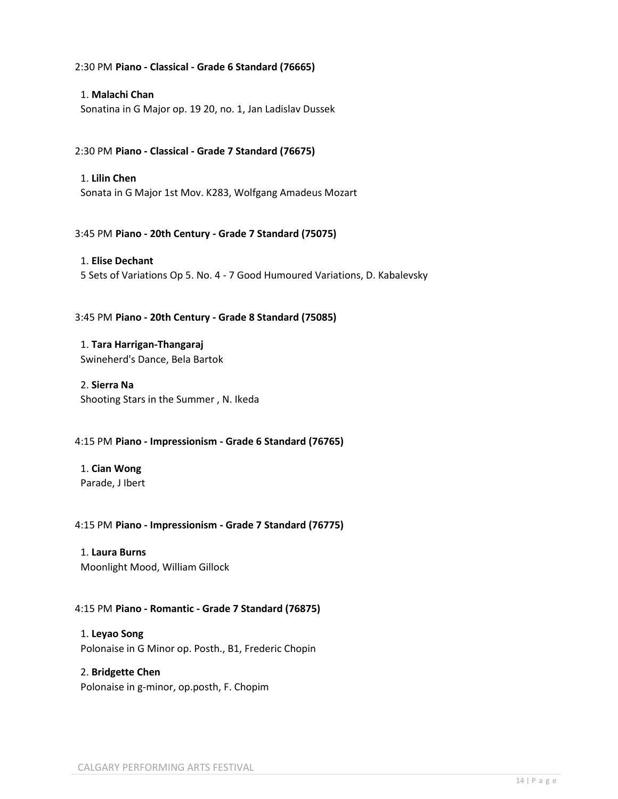#### 2:30 PM **Piano - Classical - Grade 6 Standard (76665)**

# 1. **Malachi Chan** Sonatina in G Major op. 19 20, no. 1, Jan Ladislav Dussek

#### 2:30 PM **Piano - Classical - Grade 7 Standard (76675)**

#### 1. **Lilin Chen**

Sonata in G Major 1st Mov. K283, Wolfgang Amadeus Mozart

#### 3:45 PM **Piano - 20th Century - Grade 7 Standard (75075)**

# 1. **Elise Dechant** 5 Sets of Variations Op 5. No. 4 - 7 Good Humoured Variations, D. Kabalevsky

#### 3:45 PM **Piano - 20th Century - Grade 8 Standard (75085)**

1. **Tara Harrigan-Thangaraj** Swineherd's Dance, Bela Bartok

# 2. **Sierra Na** Shooting Stars in the Summer , N. Ikeda

#### 4:15 PM **Piano - Impressionism - Grade 6 Standard (76765)**

1. **Cian Wong** Parade, J Ibert

#### 4:15 PM **Piano - Impressionism - Grade 7 Standard (76775)**

#### 1. **Laura Burns** Moonlight Mood, William Gillock

#### 4:15 PM **Piano - Romantic - Grade 7 Standard (76875)**

# 1. **Leyao Song** Polonaise in G Minor op. Posth., B1, Frederic Chopin

# 2. **Bridgette Chen**

Polonaise in g-minor, op.posth, F. Chopim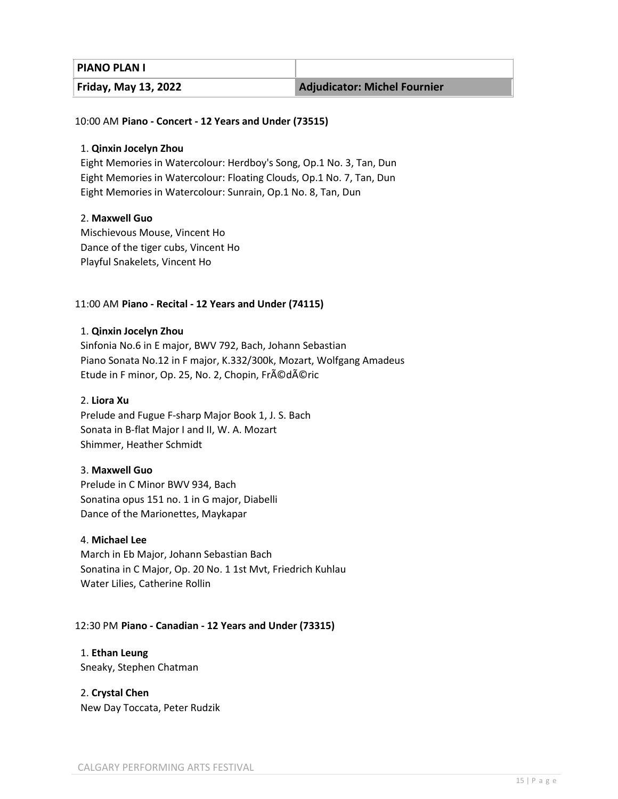| <b>PIANO PLAN I</b>         |                                     |
|-----------------------------|-------------------------------------|
| <b>Friday, May 13, 2022</b> | <b>Adjudicator: Michel Fournier</b> |

#### 10:00 AM **Piano - Concert - 12 Years and Under (73515)**

#### 1. **Qinxin Jocelyn Zhou**

Eight Memories in Watercolour: Herdboy's Song, Op.1 No. 3, Tan, Dun Eight Memories in Watercolour: Floating Clouds, Op.1 No. 7, Tan, Dun Eight Memories in Watercolour: Sunrain, Op.1 No. 8, Tan, Dun

#### 2. **Maxwell Guo**

Mischievous Mouse, Vincent Ho Dance of the tiger cubs, Vincent Ho Playful Snakelets, Vincent Ho

#### 11:00 AM **Piano - Recital - 12 Years and Under (74115)**

#### 1. **Qinxin Jocelyn Zhou**

Sinfonia No.6 in E major, BWV 792, Bach, Johann Sebastian Piano Sonata No.12 in F major, K.332/300k, Mozart, Wolfgang Amadeus Etude in F minor, Op. 25, No. 2, Chopin, Frédéric

#### 2. **Liora Xu**

Prelude and Fugue F-sharp Major Book 1, J. S. Bach Sonata in B-flat Major I and II, W. A. Mozart Shimmer, Heather Schmidt

#### 3. **Maxwell Guo**

Prelude in C Minor BWV 934, Bach Sonatina opus 151 no. 1 in G major, Diabelli Dance of the Marionettes, Maykapar

#### 4. **Michael Lee**

March in Eb Major, Johann Sebastian Bach Sonatina in C Major, Op. 20 No. 1 1st Mvt, Friedrich Kuhlau Water Lilies, Catherine Rollin

#### 12:30 PM **Piano - Canadian - 12 Years and Under (73315)**

#### 1. **Ethan Leung** Sneaky, Stephen Chatman

2. **Crystal Chen** New Day Toccata, Peter Rudzik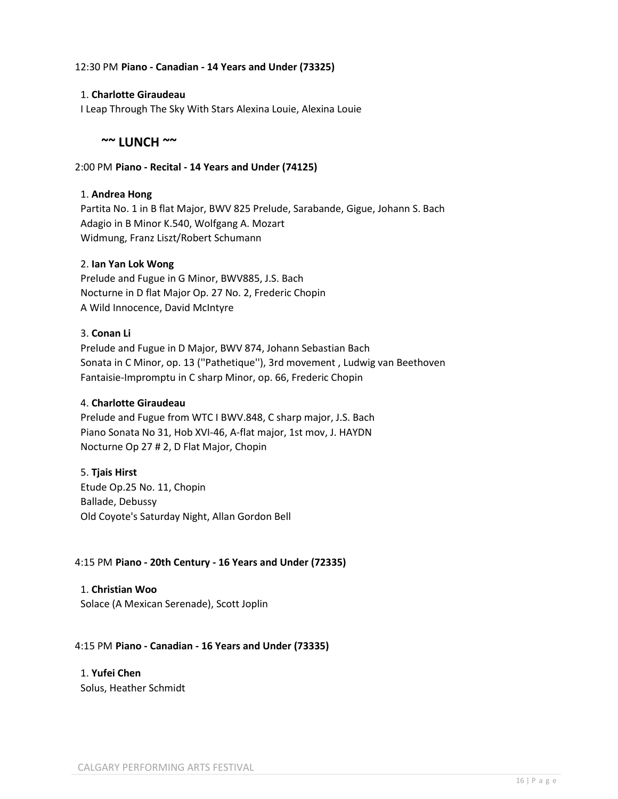#### 12:30 PM **Piano - Canadian - 14 Years and Under (73325)**

#### 1. **Charlotte Giraudeau**

I Leap Through The Sky With Stars Alexina Louie, Alexina Louie

# **~~ LUNCH ~~**

#### 2:00 PM **Piano - Recital - 14 Years and Under (74125)**

#### 1. **Andrea Hong**

Partita No. 1 in B flat Major, BWV 825 Prelude, Sarabande, Gigue, Johann S. Bach Adagio in B Minor K.540, Wolfgang A. Mozart Widmung, Franz Liszt/Robert Schumann

#### 2. **Ian Yan Lok Wong**

Prelude and Fugue in G Minor, BWV885, J.S. Bach Nocturne in D flat Major Op. 27 No. 2, Frederic Chopin A Wild Innocence, David McIntyre

#### 3. **Conan Li**

Prelude and Fugue in D Major, BWV 874, Johann Sebastian Bach Sonata in C Minor, op. 13 (''Pathetique''), 3rd movement , Ludwig van Beethoven Fantaisie-Impromptu in C sharp Minor, op. 66, Frederic Chopin

#### 4. **Charlotte Giraudeau**

Prelude and Fugue from WTC I BWV.848, C sharp major, J.S. Bach Piano Sonata No 31, Hob XVI-46, A-flat major, 1st mov, J. HAYDN Nocturne Op 27 # 2, D Flat Major, Chopin

#### 5. **Tjais Hirst**

Etude Op.25 No. 11, Chopin Ballade, Debussy Old Coyote's Saturday Night, Allan Gordon Bell

#### 4:15 PM **Piano - 20th Century - 16 Years and Under (72335)**

1. **Christian Woo** Solace (A Mexican Serenade), Scott Joplin

#### 4:15 PM **Piano - Canadian - 16 Years and Under (73335)**

#### 1. **Yufei Chen**

Solus, Heather Schmidt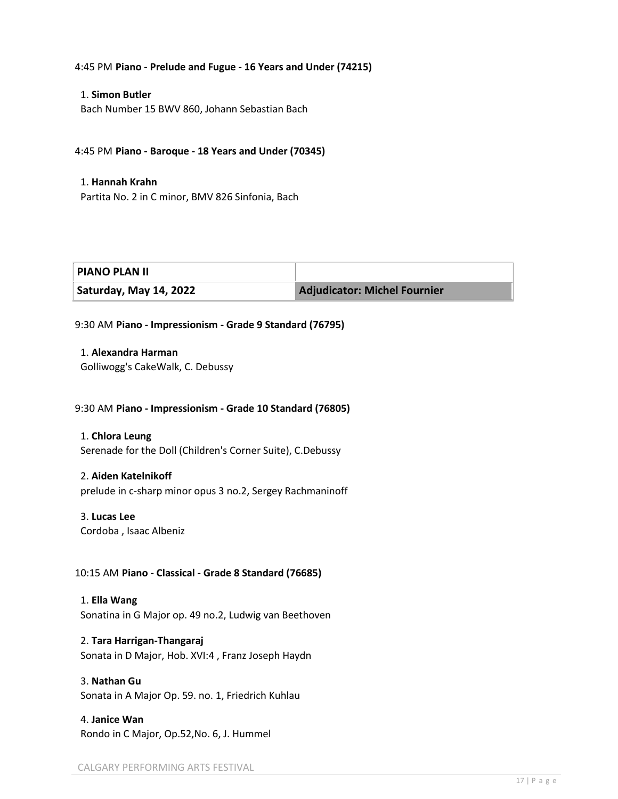#### 4:45 PM **Piano - Prelude and Fugue - 16 Years and Under (74215)**

#### 1. **Simon Butler**

Bach Number 15 BWV 860, Johann Sebastian Bach

### 4:45 PM **Piano - Baroque - 18 Years and Under (70345)**

#### 1. **Hannah Krahn**

Partita No. 2 in C minor, BMV 826 Sinfonia, Bach

| <b>PIANO PLAN II</b>   |                                     |
|------------------------|-------------------------------------|
| Saturday, May 14, 2022 | <b>Adjudicator: Michel Fournier</b> |

#### 9:30 AM **Piano - Impressionism - Grade 9 Standard (76795)**

1. **Alexandra Harman** Golliwogg's CakeWalk, C. Debussy

#### 9:30 AM **Piano - Impressionism - Grade 10 Standard (76805)**

1. **Chlora Leung** Serenade for the Doll (Children's Corner Suite), C.Debussy

#### 2. **Aiden Katelnikoff**

prelude in c-sharp minor opus 3 no.2, Sergey Rachmaninoff

#### 3. **Lucas Lee**

Cordoba , Isaac Albeniz

#### 10:15 AM **Piano - Classical - Grade 8 Standard (76685)**

1. **Ella Wang** Sonatina in G Major op. 49 no.2, Ludwig van Beethoven

#### 2. **Tara Harrigan-Thangaraj**

Sonata in D Major, Hob. XVI:4 , Franz Joseph Haydn

# 3. **Nathan Gu**

Sonata in A Major Op. 59. no. 1, Friedrich Kuhlau

# 4. **Janice Wan** Rondo in C Major, Op.52,No. 6, J. Hummel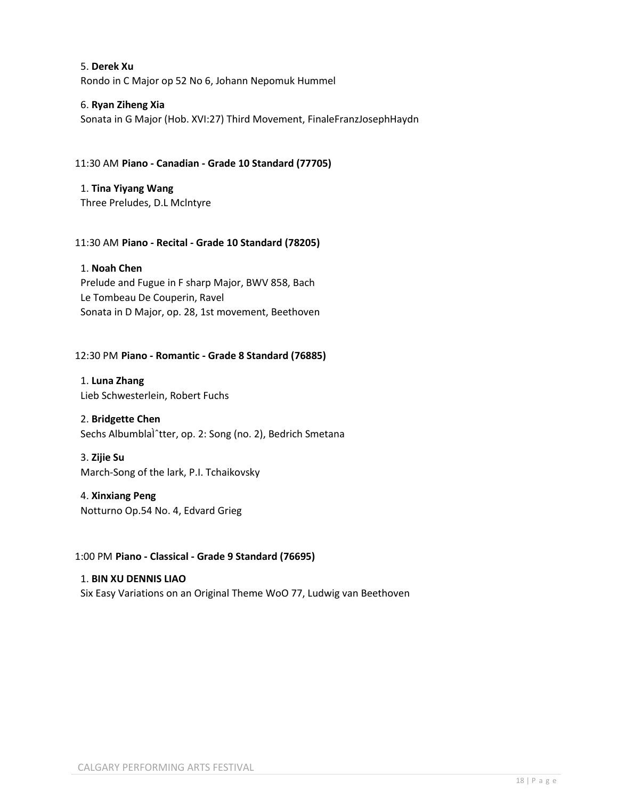5. **Derek Xu** Rondo in C Major op 52 No 6, Johann Nepomuk Hummel

# 6. **Ryan Ziheng Xia**

Sonata in G Major (Hob. XVI:27) Third Movement, FinaleFranzJosephHaydn

# 11:30 AM **Piano - Canadian - Grade 10 Standard (77705)**

1. **Tina Yiyang Wang** Three Preludes, D.L Mclntyre

# 11:30 AM **Piano - Recital - Grade 10 Standard (78205)**

# 1. **Noah Chen**

Prelude and Fugue in F sharp Major, BWV 858, Bach Le Tombeau De Couperin, Ravel Sonata in D Major, op. 28, 1st movement, Beethoven

# 12:30 PM **Piano - Romantic - Grade 8 Standard (76885)**

1. **Luna Zhang** Lieb Schwesterlein, Robert Fuchs

#### 2. **Bridgette Chen**

Sechs Albumblal<sup>^</sup>tter, op. 2: Song (no. 2), Bedrich Smetana

#### 3. **Zijie Su**

March-Song of the lark, P.I. Tchaikovsky

#### 4. **Xinxiang Peng**

Notturno Op.54 No. 4, Edvard Grieg

#### 1:00 PM **Piano - Classical - Grade 9 Standard (76695)**

1. **BIN XU DENNIS LIAO** Six Easy Variations on an Original Theme WoO 77, Ludwig van Beethoven